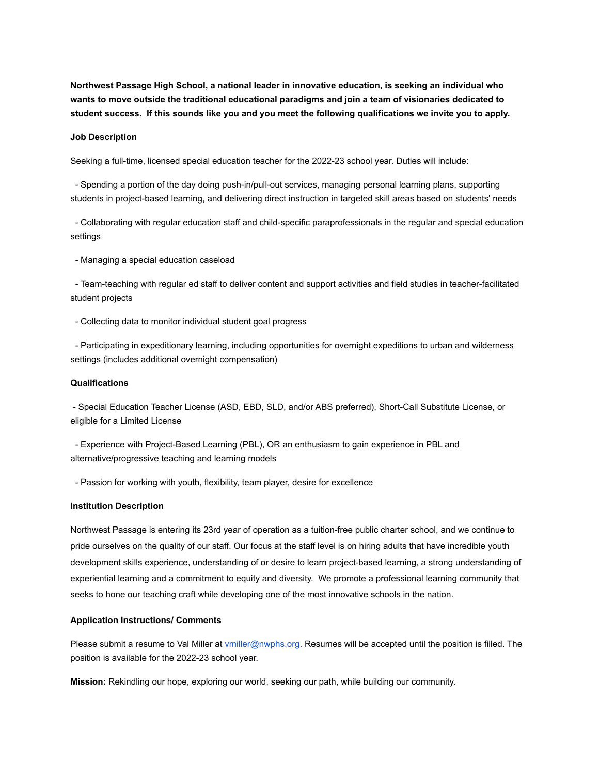**Northwest Passage High School, a national leader in innovative education, is seeking an individual who wants to move outside the traditional educational paradigms and join a team of visionaries dedicated to student success. If this sounds like you and you meet the following qualifications we invite you to apply.**

## **Job Description**

Seeking a full-time, licensed special education teacher for the 2022-23 school year. Duties will include:

- Spending a portion of the day doing push-in/pull-out services, managing personal learning plans, supporting students in project-based learning, and delivering direct instruction in targeted skill areas based on students' needs

- Collaborating with regular education staff and child-specific paraprofessionals in the regular and special education settings

- Managing a special education caseload

- Team-teaching with regular ed staff to deliver content and support activities and field studies in teacher-facilitated student projects

- Collecting data to monitor individual student goal progress

- Participating in expeditionary learning, including opportunities for overnight expeditions to urban and wilderness settings (includes additional overnight compensation)

## **Qualifications**

- Special Education Teacher License (ASD, EBD, SLD, and/or ABS preferred), Short-Call Substitute License, or eligible for a Limited License

- Experience with Project-Based Learning (PBL), OR an enthusiasm to gain experience in PBL and alternative/progressive teaching and learning models

- Passion for working with youth, flexibility, team player, desire for excellence

## **Institution Description**

Northwest Passage is entering its 23rd year of operation as a tuition-free public charter school, and we continue to pride ourselves on the quality of our staff. Our focus at the staff level is on hiring adults that have incredible youth development skills experience, understanding of or desire to learn project-based learning, a strong understanding of experiential learning and a commitment to equity and diversity. We promote a professional learning community that seeks to hone our teaching craft while developing one of the most innovative schools in the nation.

## **Application Instructions/ Comments**

Please submit a resume to Val Miller at vmiller@nwphs.org. Resumes will be accepted until the position is filled. The position is available for the 2022-23 school year.

**Mission:** Rekindling our hope, exploring our world, seeking our path, while building our community.